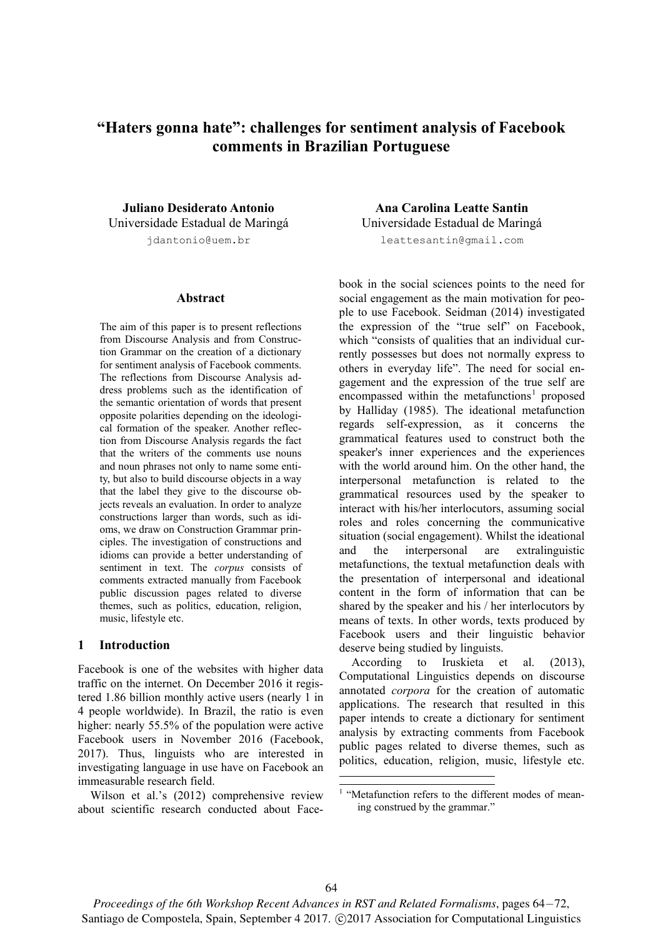# **"Haters gonna hate": challenges for sentiment analysis of Facebook comments in Brazilian Portuguese**

**Juliano Desiderato Antonio**  Universidade Estadual de Maringá jdantonio@uem.br

#### **Abstract**

The aim of this paper is to present reflections from Discourse Analysis and from Construction Grammar on the creation of a dictionary for sentiment analysis of Facebook comments. The reflections from Discourse Analysis address problems such as the identification of the semantic orientation of words that present opposite polarities depending on the ideological formation of the speaker. Another reflection from Discourse Analysis regards the fact that the writers of the comments use nouns and noun phrases not only to name some entity, but also to build discourse objects in a way that the label they give to the discourse objects reveals an evaluation. In order to analyze constructions larger than words, such as idioms, we draw on Construction Grammar principles. The investigation of constructions and idioms can provide a better understanding of sentiment in text. The *corpus* consists of comments extracted manually from Facebook public discussion pages related to diverse themes, such as politics, education, religion, music, lifestyle etc.

### **1 Introduction**

Facebook is one of the websites with higher data traffic on the internet. On December 2016 it registered 1.86 billion monthly active users (nearly 1 in 4 people worldwide). In Brazil, the ratio is even higher: nearly 55.5% of the population were active Facebook users in November 2016 (Facebook, 2017). Thus, linguists who are interested in investigating language in use have on Facebook an immeasurable research field.

Wilson et al.'s (2012) comprehensive review about scientific research conducted about Face-

**Ana Carolina Leatte Santin**  Universidade Estadual de Maringá leattesantin@gmail.com

book in the social sciences points to the need for social engagement as the main motivation for people to use Facebook. Seidman (2014) investigated the expression of the "true self" on Facebook, which "consists of qualities that an individual currently possesses but does not normally express to others in everyday life". The need for social engagement and the expression of the true self are  $encompassed$  within the metafunctions<sup>1</sup> proposed by Halliday (1985). The ideational metafunction regards self-expression, as it concerns the grammatical features used to construct both the speaker's inner experiences and the experiences with the world around him. On the other hand, the interpersonal metafunction is related to the grammatical resources used by the speaker to interact with his/her interlocutors, assuming social roles and roles concerning the communicative situation (social engagement). Whilst the ideational and the interpersonal are extralinguistic metafunctions, the textual metafunction deals with the presentation of interpersonal and ideational content in the form of information that can be shared by the speaker and his / her interlocutors by means of texts. In other words, texts produced by Facebook users and their linguistic behavior deserve being studied by linguists.

According to Iruskieta et al. (2013), Computational Linguistics depends on discourse annotated *corpora* for the creation of automatic applications. The research that resulted in this paper intends to create a dictionary for sentiment analysis by extracting comments from Facebook public pages related to diverse themes, such as politics, education, religion, music, lifestyle etc.

1

*Proceedings of the 6th Workshop Recent Advances in RST and Related Formalisms*, pages 64−72, Santiago de Compostela, Spain, September 4 2017.  $\odot$ 2017 Association for Computational Linguistics

<sup>&</sup>lt;sup>1</sup> "Metafunction refers to the different modes of meaning construed by the grammar."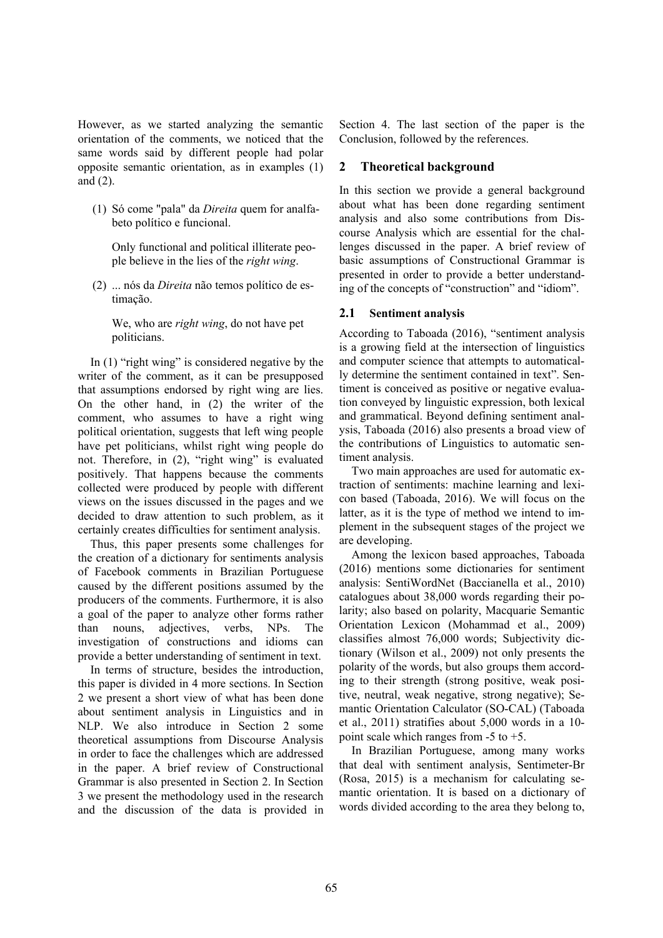However, as we started analyzing the semantic orientation of the comments, we noticed that the same words said by different people had polar opposite semantic orientation, as in examples (1) and (2).

(1) Só come "pala" da *Direita* quem for analfabeto político e funcional.

Only functional and political illiterate people believe in the lies of the *right wing*.

(2) ... nós da *Direita* não temos político de estimação.

We, who are *right wing*, do not have pet politicians.

In (1) "right wing" is considered negative by the writer of the comment, as it can be presupposed that assumptions endorsed by right wing are lies. On the other hand, in (2) the writer of the comment, who assumes to have a right wing political orientation, suggests that left wing people have pet politicians, whilst right wing people do not. Therefore, in (2), "right wing" is evaluated positively. That happens because the comments collected were produced by people with different views on the issues discussed in the pages and we decided to draw attention to such problem, as it certainly creates difficulties for sentiment analysis.

Thus, this paper presents some challenges for the creation of a dictionary for sentiments analysis of Facebook comments in Brazilian Portuguese caused by the different positions assumed by the producers of the comments. Furthermore, it is also a goal of the paper to analyze other forms rather than nouns, adjectives, verbs, NPs. The investigation of constructions and idioms can provide a better understanding of sentiment in text.

In terms of structure, besides the introduction, this paper is divided in 4 more sections. In Section 2 we present a short view of what has been done about sentiment analysis in Linguistics and in NLP. We also introduce in Section 2 some theoretical assumptions from Discourse Analysis in order to face the challenges which are addressed in the paper. A brief review of Constructional Grammar is also presented in Section 2. In Section 3 we present the methodology used in the research and the discussion of the data is provided in

Section 4. The last section of the paper is the Conclusion, followed by the references.

# **2 Theoretical background**

In this section we provide a general background about what has been done regarding sentiment analysis and also some contributions from Discourse Analysis which are essential for the challenges discussed in the paper. A brief review of basic assumptions of Constructional Grammar is presented in order to provide a better understanding of the concepts of "construction" and "idiom".

### **2.1 Sentiment analysis**

According to Taboada (2016), "sentiment analysis is a growing field at the intersection of linguistics and computer science that attempts to automatically determine the sentiment contained in text". Sentiment is conceived as positive or negative evaluation conveyed by linguistic expression, both lexical and grammatical. Beyond defining sentiment analysis, Taboada (2016) also presents a broad view of the contributions of Linguistics to automatic sentiment analysis.

Two main approaches are used for automatic extraction of sentiments: machine learning and lexicon based (Taboada, 2016). We will focus on the latter, as it is the type of method we intend to implement in the subsequent stages of the project we are developing.

Among the lexicon based approaches, Taboada (2016) mentions some dictionaries for sentiment analysis: SentiWordNet (Baccianella et al., 2010) catalogues about 38,000 words regarding their polarity; also based on polarity, Macquarie Semantic Orientation Lexicon (Mohammad et al., 2009) classifies almost 76,000 words; Subjectivity dictionary (Wilson et al., 2009) not only presents the polarity of the words, but also groups them according to their strength (strong positive, weak positive, neutral, weak negative, strong negative); Semantic Orientation Calculator (SO-CAL) (Taboada et al., 2011) stratifies about 5,000 words in a 10 point scale which ranges from -5 to +5.

In Brazilian Portuguese, among many works that deal with sentiment analysis, Sentimeter-Br (Rosa, 2015) is a mechanism for calculating semantic orientation. It is based on a dictionary of words divided according to the area they belong to,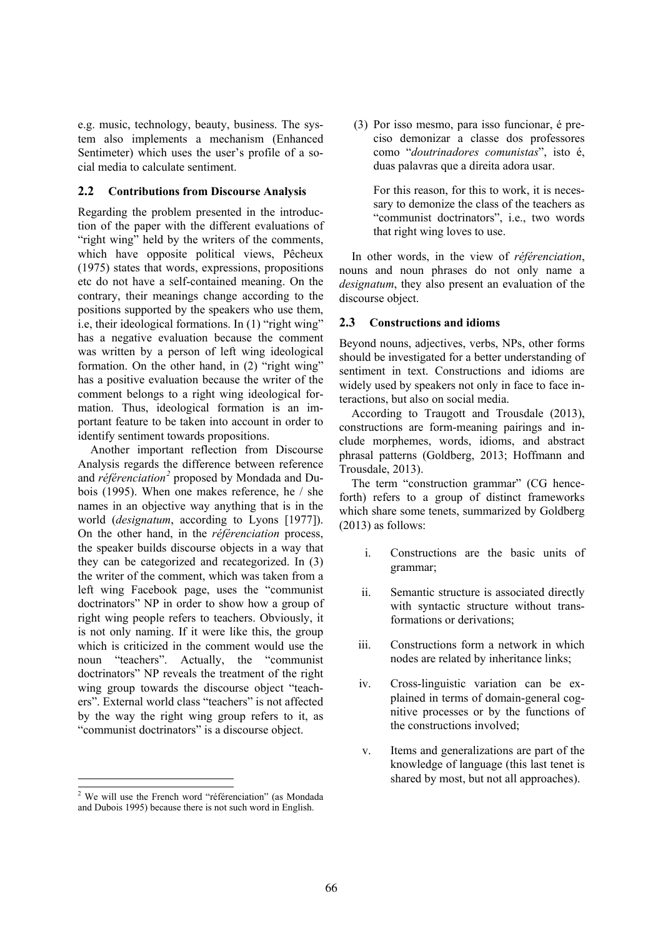e.g. music, technology, beauty, business. The system also implements a mechanism (Enhanced Sentimeter) which uses the user's profile of a social media to calculate sentiment.

## **2.2 Contributions from Discourse Analysis**

Regarding the problem presented in the introduction of the paper with the different evaluations of "right wing" held by the writers of the comments, which have opposite political views, Pêcheux (1975) states that words, expressions, propositions etc do not have a self-contained meaning. On the contrary, their meanings change according to the positions supported by the speakers who use them, i.e, their ideological formations. In (1) "right wing" has a negative evaluation because the comment was written by a person of left wing ideological formation. On the other hand, in (2) "right wing" has a positive evaluation because the writer of the comment belongs to a right wing ideological formation. Thus, ideological formation is an important feature to be taken into account in order to identify sentiment towards propositions.

Another important reflection from Discourse Analysis regards the difference between reference and *référenciation<sup>2</sup>* proposed by Mondada and Dubois (1995). When one makes reference, he / she names in an objective way anything that is in the world (*designatum*, according to Lyons [1977]). On the other hand, in the *référenciation* process, the speaker builds discourse objects in a way that they can be categorized and recategorized. In (3) the writer of the comment, which was taken from a left wing Facebook page, uses the "communist doctrinators" NP in order to show how a group of right wing people refers to teachers. Obviously, it is not only naming. If it were like this, the group which is criticized in the comment would use the noun "teachers". Actually, the "communist doctrinators" NP reveals the treatment of the right wing group towards the discourse object "teachers". External world class "teachers" is not affected by the way the right wing group refers to it, as "communist doctrinators" is a discourse object.

 $\overline{a}$ 

(3) Por isso mesmo, para isso funcionar, é preciso demonizar a classe dos professores como "*doutrinadores comunistas*", isto é, duas palavras que a direita adora usar.

For this reason, for this to work, it is necessary to demonize the class of the teachers as "communist doctrinators", i.e., two words that right wing loves to use.

In other words, in the view of *référenciation*, nouns and noun phrases do not only name a *designatum*, they also present an evaluation of the discourse object.

### **2.3 Constructions and idioms**

Beyond nouns, adjectives, verbs, NPs, other forms should be investigated for a better understanding of sentiment in text. Constructions and idioms are widely used by speakers not only in face to face interactions, but also on social media.

According to Traugott and Trousdale (2013), constructions are form-meaning pairings and include morphemes, words, idioms, and abstract phrasal patterns (Goldberg, 2013; Hoffmann and Trousdale, 2013).

The term "construction grammar" (CG henceforth) refers to a group of distinct frameworks which share some tenets, summarized by Goldberg (2013) as follows:

- i. Constructions are the basic units of grammar;
- ii. Semantic structure is associated directly with syntactic structure without transformations or derivations;
- iii. Constructions form a network in which nodes are related by inheritance links;
- iv. Cross-linguistic variation can be explained in terms of domain-general cognitive processes or by the functions of the constructions involved;
- v. Items and generalizations are part of the knowledge of language (this last tenet is shared by most, but not all approaches).

 $\frac{1}{2}$  We will use the French word "référenciation" (as Mondada and Dubois 1995) because there is not such word in English.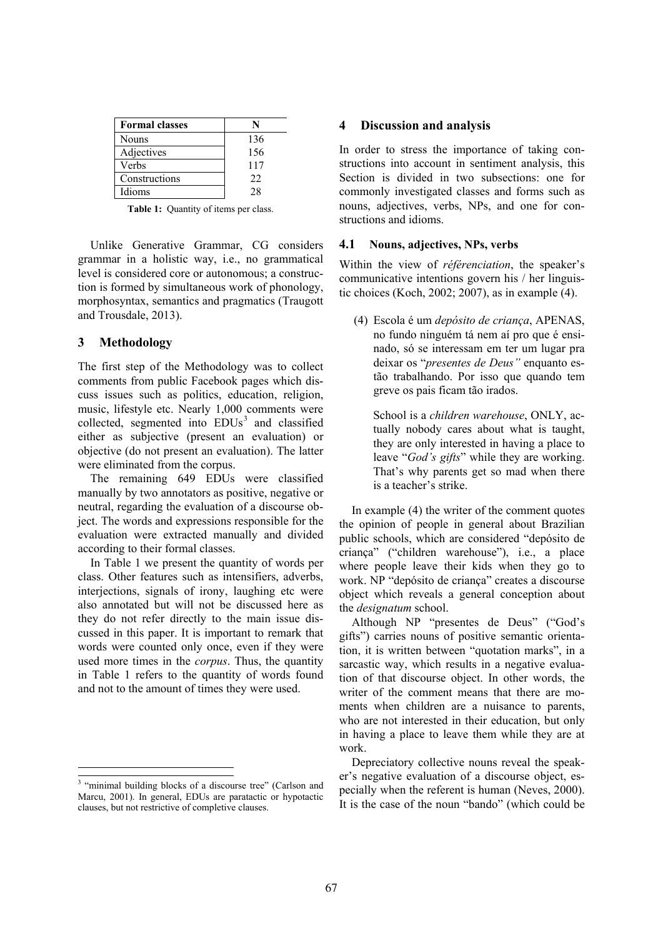| <b>Formal classes</b> |     |
|-----------------------|-----|
| <b>Nouns</b>          | 136 |
| Adjectives            | 156 |
| Verbs                 | 117 |
| Constructions         | 22  |
| Idioms                | 28  |

**Table 1:** Quantity of items per class.

Unlike Generative Grammar, CG considers grammar in a holistic way, i.e., no grammatical level is considered core or autonomous; a construction is formed by simultaneous work of phonology, morphosyntax, semantics and pragmatics (Traugott and Trousdale, 2013).

### **3 Methodology**

The first step of the Methodology was to collect comments from public Facebook pages which discuss issues such as politics, education, religion, music, lifestyle etc. Nearly 1,000 comments were collected, segmented into  $EDUs^3$  and classified either as subjective (present an evaluation) or objective (do not present an evaluation). The latter were eliminated from the corpus.

The remaining 649 EDUs were classified manually by two annotators as positive, negative or neutral, regarding the evaluation of a discourse object. The words and expressions responsible for the evaluation were extracted manually and divided according to their formal classes.

In Table 1 we present the quantity of words per class. Other features such as intensifiers, adverbs, interjections, signals of irony, laughing etc were also annotated but will not be discussed here as they do not refer directly to the main issue discussed in this paper. It is important to remark that words were counted only once, even if they were used more times in the *corpus*. Thus, the quantity in Table 1 refers to the quantity of words found and not to the amount of times they were used.

#### **4 Discussion and analysis**

In order to stress the importance of taking constructions into account in sentiment analysis, this Section is divided in two subsections: one for commonly investigated classes and forms such as nouns, adjectives, verbs, NPs, and one for constructions and idioms.

#### **4.1 Nouns, adjectives, NPs, verbs**

Within the view of *référenciation*, the speaker's communicative intentions govern his / her linguistic choices (Koch, 2002; 2007), as in example (4).

(4) Escola é um *depósito de criança*, APENAS, no fundo ninguém tá nem aí pro que é ensinado, só se interessam em ter um lugar pra deixar os "*presentes de Deus"* enquanto estão trabalhando. Por isso que quando tem greve os pais ficam tão irados.

School is a *children warehouse*, ONLY, actually nobody cares about what is taught, they are only interested in having a place to leave "*God's gifts*" while they are working. That's why parents get so mad when there is a teacher's strike.

In example (4) the writer of the comment quotes the opinion of people in general about Brazilian public schools, which are considered "depósito de criança" ("children warehouse"), i.e., a place where people leave their kids when they go to work. NP "depósito de criança" creates a discourse object which reveals a general conception about the *designatum* school.

Although NP "presentes de Deus" ("God's gifts") carries nouns of positive semantic orientation, it is written between "quotation marks", in a sarcastic way, which results in a negative evaluation of that discourse object. In other words, the writer of the comment means that there are moments when children are a nuisance to parents, who are not interested in their education, but only in having a place to leave them while they are at work.

Depreciatory collective nouns reveal the speaker's negative evaluation of a discourse object, especially when the referent is human (Neves, 2000). It is the case of the noun "bando" (which could be

<sup>&</sup>lt;sup>2</sup><br>3 <sup>3</sup> "minimal building blocks of a discourse tree" (Carlson and Marcu, 2001). In general, EDUs are paratactic or hypotactic clauses, but not restrictive of completive clauses.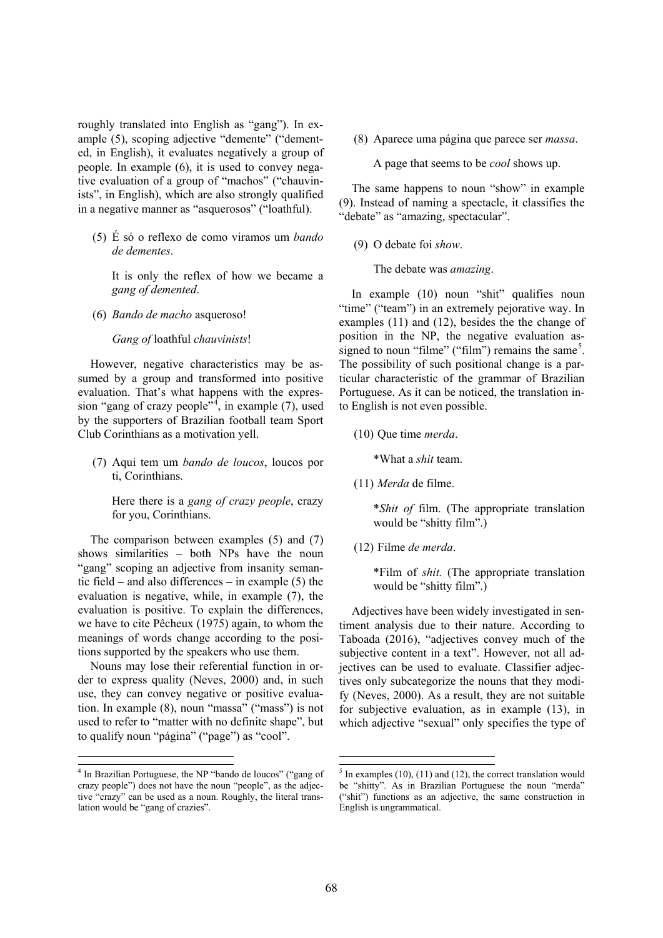roughly translated into English as "gang"). In example (5), scoping adjective "demente" ("demented, in English), it evaluates negatively a group of people. In example (6), it is used to convey negative evaluation of a group of "machos" ("chauvinists", in English), which are also strongly qualified in a negative manner as "asquerosos" ("loathful).

(5) É só o reflexo de como viramos um *bando de dementes*.

It is only the reflex of how we became a *gang of demented*.

(6) *Bando de macho* asqueroso!

*Gang of* loathful *chauvinists*!

However, negative characteristics may be assumed by a group and transformed into positive evaluation. That's what happens with the expression "gang of crazy people", in example  $(7)$ , used by the supporters of Brazilian football team Sport Club Corinthians as a motivation yell.

(7) Aqui tem um *bando de loucos*, loucos por ti, Corinthians.

Here there is a *gang of crazy people*, crazy for you, Corinthians.

The comparison between examples (5) and (7) shows similarities – both NPs have the noun "gang" scoping an adjective from insanity semantic field – and also differences – in example (5) the evaluation is negative, while, in example (7), the evaluation is positive. To explain the differences, we have to cite Pêcheux (1975) again, to whom the meanings of words change according to the positions supported by the speakers who use them.

Nouns may lose their referential function in order to express quality (Neves, 2000) and, in such use, they can convey negative or positive evaluation. In example (8), noun "massa" ("mass") is not used to refer to "matter with no definite shape", but to qualify noun "página" ("page") as "cool".

 $\overline{a}$ 

(8) Aparece uma página que parece ser *massa*.

A page that seems to be *cool* shows up.

The same happens to noun "show" in example (9). Instead of naming a spectacle, it classifies the "debate" as "amazing, spectacular".

(9) O debate foi *show*.

The debate was *amazing*.

In example (10) noun "shit" qualifies noun "time" ("team") in an extremely pejorative way. In examples (11) and (12), besides the the change of position in the NP, the negative evaluation assigned to noun "filme" ("film") remains the same<sup>5</sup>. The possibility of such positional change is a particular characteristic of the grammar of Brazilian Portuguese. As it can be noticed, the translation into English is not even possible.

(10) Que time *merda*.

\*What a *shit* team.

(11) *Merda* de filme.

\**Shit of* film. (The appropriate translation would be "shitty film".)

(12) Filme *de merda*.

\*Film of *shit.* (The appropriate translation would be "shitty film".)

Adjectives have been widely investigated in sentiment analysis due to their nature. According to Taboada (2016), "adjectives convey much of the subjective content in a text". However, not all adjectives can be used to evaluate. Classifier adjectives only subcategorize the nouns that they modify (Neves, 2000). As a result, they are not suitable for subjective evaluation, as in example (13), in which adjective "sexual" only specifies the type of

.

 <sup>4</sup> <sup>4</sup> In Brazilian Portuguese, the NP "bando de loucos" ("gang of crazy people") does not have the noun "people", as the adjective "crazy" can be used as a noun. Roughly, the literal translation would be "gang of crazies".

 <sup>5</sup>  $<sup>5</sup>$  In examples (10), (11) and (12), the correct translation would</sup> be "shitty". As in Brazilian Portuguese the noun "merda" ("shit") functions as an adjective, the same construction in English is ungrammatical.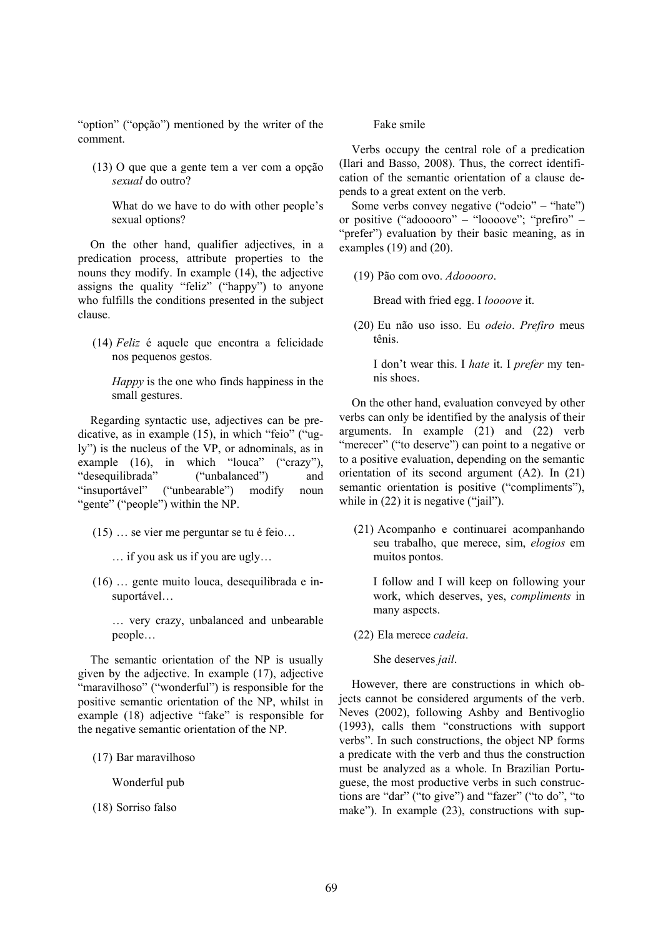"option" ("opção") mentioned by the writer of the comment.

(13) O que que a gente tem a ver com a opção *sexual* do outro?

What do we have to do with other people's sexual options?

On the other hand, qualifier adjectives, in a predication process, attribute properties to the nouns they modify. In example (14), the adjective assigns the quality "feliz" ("happy") to anyone who fulfills the conditions presented in the subject clause.

(14) *Feliz* é aquele que encontra a felicidade nos pequenos gestos.

*Happy* is the one who finds happiness in the small gestures.

Regarding syntactic use, adjectives can be predicative, as in example (15), in which "feio" ("ugly") is the nucleus of the VP, or adnominals, as in example (16), in which "louca" ("crazy"), "desequilibrada" ("unbalanced") and "insuportável" ("unbearable") modify noun "gente" ("people") within the NP.

- (15) … se vier me perguntar se tu é feio…
	- … if you ask us if you are ugly…
- $(16)$   $\ldots$  gente muito louca, desequilibrada e insuportável…

… very crazy, unbalanced and unbearable people…

The semantic orientation of the NP is usually given by the adjective. In example (17), adjective "maravilhoso" ("wonderful") is responsible for the positive semantic orientation of the NP, whilst in example (18) adjective "fake" is responsible for the negative semantic orientation of the NP.

(17) Bar maravilhoso

Wonderful pub

(18) Sorriso falso

Fake smile

Verbs occupy the central role of a predication (Ilari and Basso, 2008). Thus, the correct identification of the semantic orientation of a clause depends to a great extent on the verb.

Some verbs convey negative ("odeio" – "hate") or positive ("adooooro" – "loooove"; "prefiro" – "prefer") evaluation by their basic meaning, as in examples (19) and (20).

(19) Pão com ovo. *Adooooro*.

Bread with fried egg. I *loooove* it.

(20) Eu não uso isso. Eu *odeio*. *Prefiro* meus tênis.

I don't wear this. I *hate* it. I *prefer* my tennis shoes.

On the other hand, evaluation conveyed by other verbs can only be identified by the analysis of their arguments. In example (21) and (22) verb "merecer" ("to deserve") can point to a negative or to a positive evaluation, depending on the semantic orientation of its second argument (A2). In (21) semantic orientation is positive ("compliments"), while in  $(22)$  it is negative ("jail").

(21) Acompanho e continuarei acompanhando seu trabalho, que merece, sim, *elogios* em muitos pontos.

I follow and I will keep on following your work, which deserves, yes, *compliments* in many aspects.

(22) Ela merece *cadeia*.

She deserves *jail*.

However, there are constructions in which objects cannot be considered arguments of the verb. Neves (2002), following Ashby and Bentivoglio (1993), calls them "constructions with support verbs". In such constructions, the object NP forms a predicate with the verb and thus the construction must be analyzed as a whole. In Brazilian Portuguese, the most productive verbs in such constructions are "dar" ("to give") and "fazer" ("to do", "to make"). In example (23), constructions with sup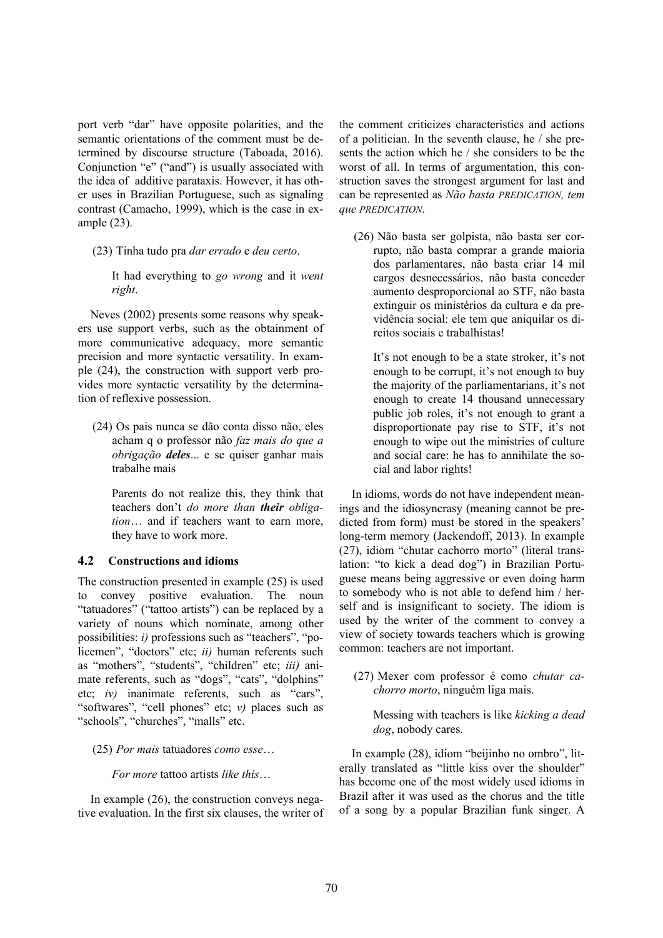port verb "dar" have opposite polarities, and the semantic orientations of the comment must be determined by discourse structure (Taboada, 2016). Conjunction "e" ("and") is usually associated with the idea of additive parataxis. However, it has other uses in Brazilian Portuguese, such as signaling contrast (Camacho, 1999), which is the case in example (23).

- (23) Tinha tudo pra *dar errado* e *deu certo*.
	- It had everything to *go wrong* and it *went right*.

Neves (2002) presents some reasons why speakers use support verbs, such as the obtainment of more communicative adequacy, more semantic precision and more syntactic versatility. In example (24), the construction with support verb provides more syntactic versatility by the determination of reflexive possession.

(24) Os pais nunca se dão conta disso não, eles acham q o professor não *faz mais do que a obrigação deles*... e se quiser ganhar mais trabalhe mais

Parents do not realize this, they think that teachers don't *do more than their obligation*… and if teachers want to earn more, they have to work more.

# **4.2 Constructions and idioms**

The construction presented in example (25) is used to convey positive evaluation. The noun "tatuadores" ("tattoo artists") can be replaced by a variety of nouns which nominate, among other possibilities: *i)* professions such as "teachers", "policemen", "doctors" etc; *ii)* human referents such as "mothers", "students", "children" etc; *iii)* animate referents, such as "dogs", "cats", "dolphins" etc; *iv)* inanimate referents, such as "cars", "softwares", "cell phones" etc; *v)* places such as "schools", "churches", "malls" etc.

(25) *Por mais* tatuadores *como esse*…

*For more* tattoo artists *like this*…

In example (26), the construction conveys negative evaluation. In the first six clauses, the writer of the comment criticizes characteristics and actions of a politician. In the seventh clause, he / she presents the action which he / she considers to be the worst of all. In terms of argumentation, this construction saves the strongest argument for last and can be represented as *Não basta PREDICATION, tem que PREDICATION*.

(26) Não basta ser golpista, não basta ser corrupto, não basta comprar a grande maioria dos parlamentares, não basta criar 14 mil cargos desnecessários, não basta conceder aumento desproporcional ao STF, não basta extinguir os ministérios da cultura e da previdência social: ele tem que aniquilar os direitos sociais e trabalhistas!

It's not enough to be a state stroker, it's not enough to be corrupt, it's not enough to buy the majority of the parliamentarians, it's not enough to create 14 thousand unnecessary public job roles, it's not enough to grant a disproportionate pay rise to STF, it's not enough to wipe out the ministries of culture and social care: he has to annihilate the social and labor rights!

In idioms, words do not have independent meanings and the idiosyncrasy (meaning cannot be predicted from form) must be stored in the speakers' long-term memory (Jackendoff, 2013). In example (27), idiom "chutar cachorro morto" (literal translation: "to kick a dead dog") in Brazilian Portuguese means being aggressive or even doing harm to somebody who is not able to defend him / herself and is insignificant to society. The idiom is used by the writer of the comment to convey a view of society towards teachers which is growing common: teachers are not important.

(27) Mexer com professor é como *chutar cachorro morto*, ninguém liga mais.

Messing with teachers is like *kicking a dead dog*, nobody cares.

In example (28), idiom "beijinho no ombro", literally translated as "little kiss over the shoulder" has become one of the most widely used idioms in Brazil after it was used as the chorus and the title of a song by a popular Brazilian funk singer. A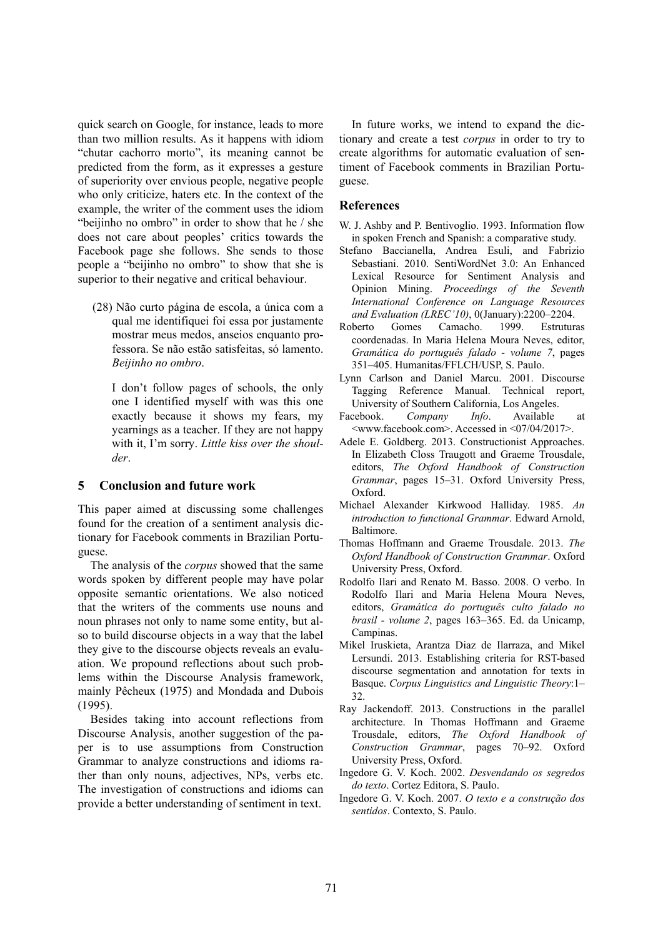quick search on Google, for instance, leads to more than two million results. As it happens with idiom "chutar cachorro morto", its meaning cannot be predicted from the form, as it expresses a gesture of superiority over envious people, negative people who only criticize, haters etc. In the context of the example, the writer of the comment uses the idiom "beijinho no ombro" in order to show that he / she does not care about peoples' critics towards the Facebook page she follows. She sends to those people a "beijinho no ombro" to show that she is superior to their negative and critical behaviour.

(28) Não curto página de escola, a única com a qual me identifiquei foi essa por justamente mostrar meus medos, anseios enquanto professora. Se não estão satisfeitas, só lamento. *Beijinho no ombro*.

I don't follow pages of schools, the only one I identified myself with was this one exactly because it shows my fears, my yearnings as a teacher. If they are not happy with it, I'm sorry. *Little kiss over the shoulder*.

# **5 Conclusion and future work**

This paper aimed at discussing some challenges found for the creation of a sentiment analysis dictionary for Facebook comments in Brazilian Portuguese.

The analysis of the *corpus* showed that the same words spoken by different people may have polar opposite semantic orientations. We also noticed that the writers of the comments use nouns and noun phrases not only to name some entity, but also to build discourse objects in a way that the label they give to the discourse objects reveals an evaluation. We propound reflections about such problems within the Discourse Analysis framework, mainly Pêcheux (1975) and Mondada and Dubois (1995).

Besides taking into account reflections from Discourse Analysis, another suggestion of the paper is to use assumptions from Construction Grammar to analyze constructions and idioms rather than only nouns, adjectives, NPs, verbs etc. The investigation of constructions and idioms can provide a better understanding of sentiment in text.

In future works, we intend to expand the dictionary and create a test *corpus* in order to try to create algorithms for automatic evaluation of sentiment of Facebook comments in Brazilian Portuguese.

## **References**

- W. J. Ashby and P. Bentivoglio. 1993. Information flow in spoken French and Spanish: a comparative study.
- Stefano Baccianella, Andrea Esuli, and Fabrizio Sebastiani. 2010. SentiWordNet 3.0: An Enhanced Lexical Resource for Sentiment Analysis and Opinion Mining. *Proceedings of the Seventh International Conference on Language Resources and Evaluation (LREC'10)*, 0(January):2200–2204.
- Roberto Gomes Camacho. 1999. Estruturas coordenadas. In Maria Helena Moura Neves, editor, *Gramática do português falado - volume 7*, pages 351–405. Humanitas/FFLCH/USP, S. Paulo.
- Lynn Carlson and Daniel Marcu. 2001. Discourse Tagging Reference Manual. Technical report, University of Southern California, Los Angeles.
- Facebook. *Company Info*. Available at <www.facebook.com>. Accessed in <07/04/2017>.
- Adele E. Goldberg. 2013. Constructionist Approaches. In Elizabeth Closs Traugott and Graeme Trousdale, editors, *The Oxford Handbook of Construction Grammar*, pages 15–31. Oxford University Press, Oxford.
- Michael Alexander Kirkwood Halliday. 1985. *An introduction to functional Grammar*. Edward Arnold, Baltimore.
- Thomas Hoffmann and Graeme Trousdale. 2013. *The Oxford Handbook of Construction Grammar*. Oxford University Press, Oxford.
- Rodolfo Ilari and Renato M. Basso. 2008. O verbo. In Rodolfo Ilari and Maria Helena Moura Neves, editors, *Gramática do português culto falado no brasil - volume 2*, pages 163–365. Ed. da Unicamp, Campinas.
- Mikel Iruskieta, Arantza Diaz de Ilarraza, and Mikel Lersundi. 2013. Establishing criteria for RST-based discourse segmentation and annotation for texts in Basque. *Corpus Linguistics and Linguistic Theory*:1– 32.
- Ray Jackendoff. 2013. Constructions in the parallel architecture. In Thomas Hoffmann and Graeme Trousdale, editors, *The Oxford Handbook of Construction Grammar*, pages 70–92. Oxford University Press, Oxford.
- Ingedore G. V. Koch. 2002. *Desvendando os segredos do texto*. Cortez Editora, S. Paulo.
- Ingedore G. V. Koch. 2007. *O texto e a construção dos sentidos*. Contexto, S. Paulo.